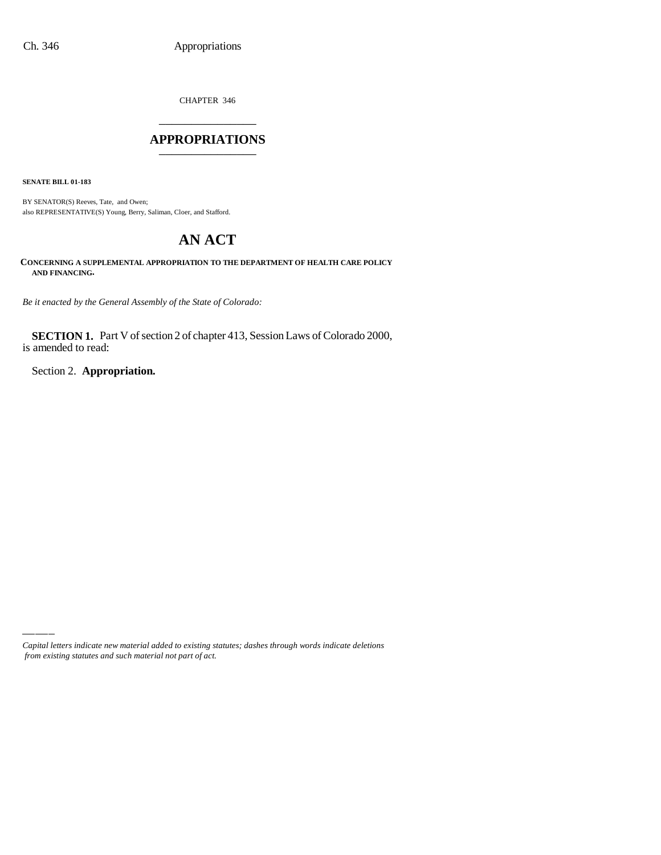CHAPTER 346 \_\_\_\_\_\_\_\_\_\_\_\_\_\_\_

### **APPROPRIATIONS** \_\_\_\_\_\_\_\_\_\_\_\_\_\_\_

**SENATE BILL 01-183**

BY SENATOR(S) Reeves, Tate, and Owen; also REPRESENTATIVE(S) Young, Berry, Saliman, Cloer, and Stafford.

# **AN ACT**

**CONCERNING A SUPPLEMENTAL APPROPRIATION TO THE DEPARTMENT OF HEALTH CARE POLICY AND FINANCING.**

*Be it enacted by the General Assembly of the State of Colorado:*

**SECTION 1.** Part V of section 2 of chapter 413, Session Laws of Colorado 2000, is amended to read:

Section 2. **Appropriation.**

*Capital letters indicate new material added to existing statutes; dashes through words indicate deletions from existing statutes and such material not part of act.*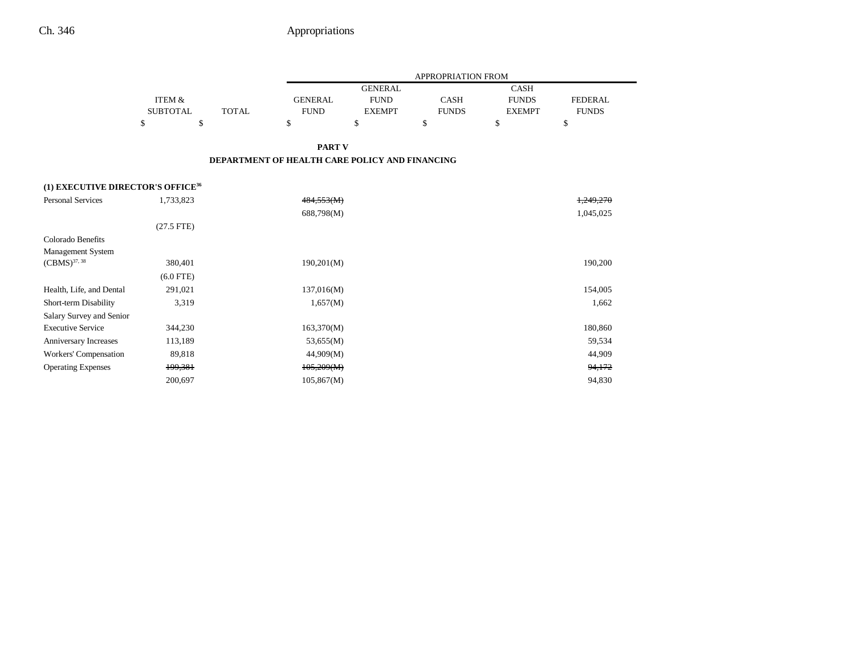|                                               |                 |                                                |                |                | APPROPRIATION FROM |               |                |
|-----------------------------------------------|-----------------|------------------------------------------------|----------------|----------------|--------------------|---------------|----------------|
|                                               |                 |                                                |                | <b>GENERAL</b> |                    | <b>CASH</b>   |                |
|                                               | ITEM &          |                                                | <b>GENERAL</b> | <b>FUND</b>    | <b>CASH</b>        | <b>FUNDS</b>  | <b>FEDERAL</b> |
|                                               | <b>SUBTOTAL</b> | <b>TOTAL</b>                                   | <b>FUND</b>    | <b>EXEMPT</b>  | <b>FUNDS</b>       | <b>EXEMPT</b> | <b>FUNDS</b>   |
|                                               | \$<br>\$        |                                                | \$             | \$             | \$                 | $\mathbf S$   | \$             |
|                                               |                 |                                                | <b>PART V</b>  |                |                    |               |                |
|                                               |                 | DEPARTMENT OF HEALTH CARE POLICY AND FINANCING |                |                |                    |               |                |
| (1) EXECUTIVE DIRECTOR'S OFFICE <sup>36</sup> |                 |                                                |                |                |                    |               |                |
| <b>Personal Services</b>                      | 1,733,823       |                                                | 484,553(M)     |                |                    |               | 1,249,270      |
|                                               |                 |                                                | 688,798(M)     |                |                    |               | 1,045,025      |
|                                               | $(27.5$ FTE)    |                                                |                |                |                    |               |                |
| Colorado Benefits                             |                 |                                                |                |                |                    |               |                |
| Management System                             |                 |                                                |                |                |                    |               |                |
| $(CBMS)^{37, 38}$                             | 380,401         |                                                | 190,201(M)     |                |                    |               | 190,200        |
|                                               | $(6.0$ FTE)     |                                                |                |                |                    |               |                |
| Health, Life, and Dental                      | 291,021         |                                                | 137,016(M)     |                |                    |               | 154,005        |
| Short-term Disability                         | 3,319           |                                                | 1,657(M)       |                |                    |               | 1,662          |
| Salary Survey and Senior                      |                 |                                                |                |                |                    |               |                |
| <b>Executive Service</b>                      | 344,230         |                                                | 163,370(M)     |                |                    |               | 180,860        |
| Anniversary Increases                         | 113,189         |                                                | 53,655(M)      |                |                    |               | 59,534         |
| Workers' Compensation                         | 89,818          |                                                | 44,909(M)      |                |                    |               | 44,909         |
| <b>Operating Expenses</b>                     | 199,381         |                                                | 105,209(M)     |                |                    |               | 94,172         |
|                                               | 200.697         |                                                | 105,867(M)     |                |                    |               | 94.830         |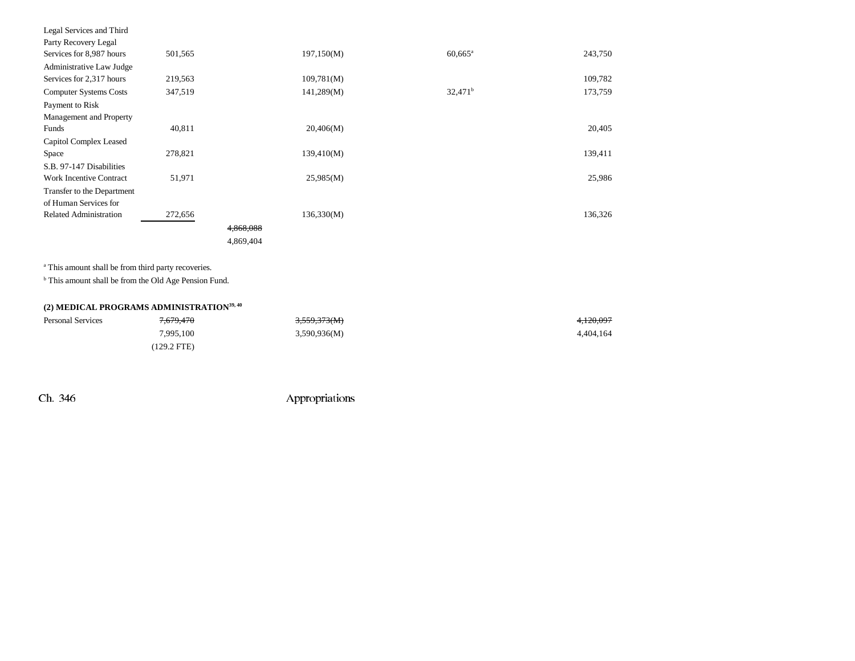| Legal Services and Third       |         |           |            |                       |         |
|--------------------------------|---------|-----------|------------|-----------------------|---------|
| Party Recovery Legal           |         |           |            |                       |         |
| Services for 8,987 hours       | 501,565 |           | 197,150(M) | $60,665$ <sup>a</sup> | 243,750 |
| Administrative Law Judge       |         |           |            |                       |         |
| Services for 2,317 hours       | 219,563 |           | 109,781(M) |                       | 109,782 |
| <b>Computer Systems Costs</b>  | 347,519 |           | 141,289(M) | $32,471^b$            | 173,759 |
| Payment to Risk                |         |           |            |                       |         |
| Management and Property        |         |           |            |                       |         |
| Funds                          | 40,811  |           | 20,406(M)  |                       | 20,405  |
| Capitol Complex Leased         |         |           |            |                       |         |
| Space                          | 278,821 |           | 139,410(M) |                       | 139,411 |
| S.B. 97-147 Disabilities       |         |           |            |                       |         |
| <b>Work Incentive Contract</b> | 51,971  |           | 25,985(M)  |                       | 25,986  |
| Transfer to the Department     |         |           |            |                       |         |
| of Human Services for          |         |           |            |                       |         |
| <b>Related Administration</b>  | 272,656 |           | 136,330(M) |                       | 136,326 |
|                                |         | 4.868.088 |            |                       |         |
|                                |         | 4,869,404 |            |                       |         |

a This amount shall be from third party recoveries.

<sup>b</sup> This amount shall be from the Old Age Pension Fund.

# **(2) MEDICAL PROGRAMS ADMINISTRATION39, 40**

| <b>Personal Services</b> | <del>7,679,470</del>  | 3,559,373(M) | <del>4,120,097</del> |
|--------------------------|-----------------------|--------------|----------------------|
|                          | 7,995,100             | 3,590,936(M) | 4.404.164            |
|                          | $(129.2 \text{ FTE})$ |              |                      |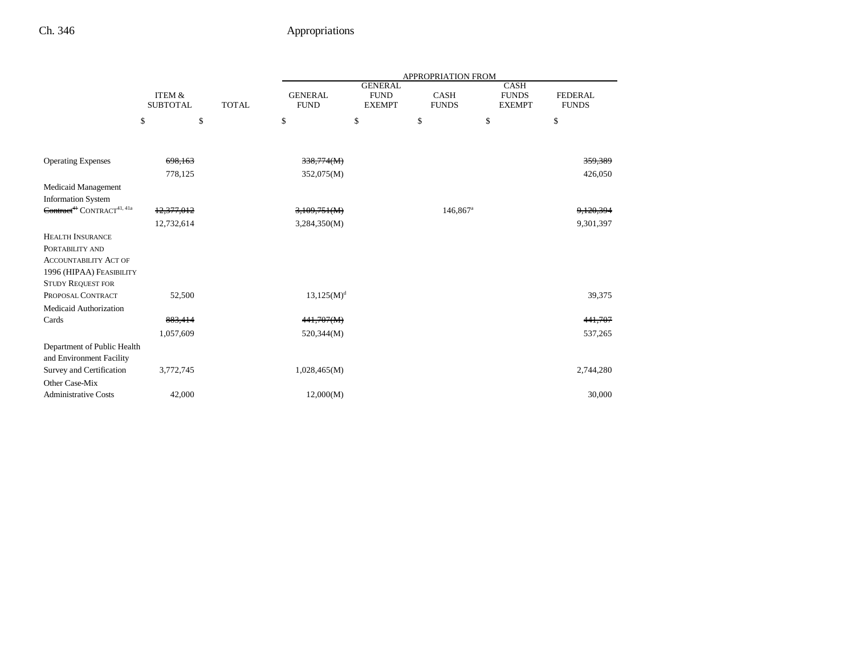|                                                    |            | <b>ITEM &amp;</b><br><b>SUBTOTAL</b><br><b>TOTAL</b> |                 | <b>APPROPRIATION FROM</b>                      |                             |                                              |                                |  |  |  |
|----------------------------------------------------|------------|------------------------------------------------------|-----------------|------------------------------------------------|-----------------------------|----------------------------------------------|--------------------------------|--|--|--|
|                                                    |            |                                                      |                 | <b>GENERAL</b><br><b>FUND</b><br><b>EXEMPT</b> | <b>CASH</b><br><b>FUNDS</b> | <b>CASH</b><br><b>FUNDS</b><br><b>EXEMPT</b> | <b>FEDERAL</b><br><b>FUNDS</b> |  |  |  |
|                                                    | \$         | \$                                                   | \$              | \$                                             | \$                          | \$                                           | \$                             |  |  |  |
|                                                    |            |                                                      |                 |                                                |                             |                                              |                                |  |  |  |
| <b>Operating Expenses</b>                          | 698,163    |                                                      | 338,774(M)      |                                                |                             |                                              | 359,389                        |  |  |  |
|                                                    | 778,125    |                                                      | 352,075(M)      |                                                |                             |                                              | 426,050                        |  |  |  |
| Medicaid Management                                |            |                                                      |                 |                                                |                             |                                              |                                |  |  |  |
| <b>Information System</b>                          |            |                                                      |                 |                                                |                             |                                              |                                |  |  |  |
| Contract <sup>41</sup> CONTRACT <sup>41, 41a</sup> | 12,377,012 |                                                      | 3,109,751(M)    |                                                | 146,867 <sup>a</sup>        |                                              | 9,120,394                      |  |  |  |
|                                                    | 12,732,614 |                                                      | 3,284,350(M)    |                                                |                             |                                              | 9,301,397                      |  |  |  |
| <b>HEALTH INSURANCE</b>                            |            |                                                      |                 |                                                |                             |                                              |                                |  |  |  |
| PORTABILITY AND                                    |            |                                                      |                 |                                                |                             |                                              |                                |  |  |  |
| <b>ACCOUNTABILITY ACT OF</b>                       |            |                                                      |                 |                                                |                             |                                              |                                |  |  |  |
| 1996 (HIPAA) FEASIBILITY                           |            |                                                      |                 |                                                |                             |                                              |                                |  |  |  |
| <b>STUDY REQUEST FOR</b>                           |            |                                                      |                 |                                                |                             |                                              |                                |  |  |  |
| PROPOSAL CONTRACT                                  | 52,500     |                                                      | $13,125(M)^{d}$ |                                                |                             |                                              | 39,375                         |  |  |  |
| Medicaid Authorization                             |            |                                                      |                 |                                                |                             |                                              |                                |  |  |  |
| Cards                                              | 883,414    |                                                      | 441,707(M)      |                                                |                             |                                              | 441,707                        |  |  |  |
|                                                    | 1,057,609  |                                                      | 520,344(M)      |                                                |                             |                                              | 537,265                        |  |  |  |
| Department of Public Health                        |            |                                                      |                 |                                                |                             |                                              |                                |  |  |  |
| and Environment Facility                           |            |                                                      |                 |                                                |                             |                                              |                                |  |  |  |
| Survey and Certification                           | 3,772,745  |                                                      | 1,028,465(M)    |                                                |                             |                                              | 2,744,280                      |  |  |  |
| Other Case-Mix                                     |            |                                                      |                 |                                                |                             |                                              |                                |  |  |  |
| <b>Administrative Costs</b>                        | 42,000     |                                                      | 12,000(M)       |                                                |                             |                                              | 30,000                         |  |  |  |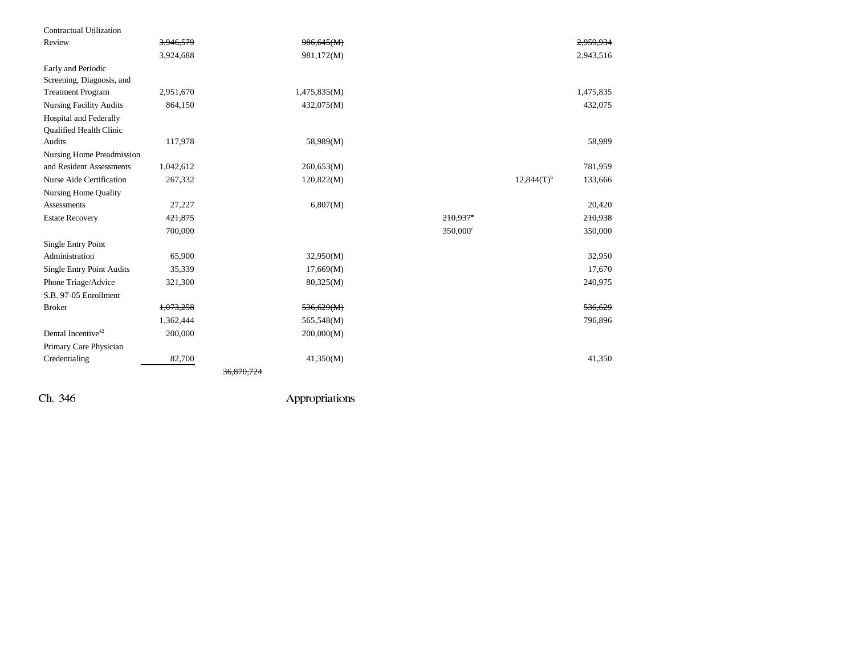| Contractual Utilization                           |           |              |                      |                          |           |
|---------------------------------------------------|-----------|--------------|----------------------|--------------------------|-----------|
| Review                                            | 3.946.579 | 986,645(M)   |                      |                          | 2.959.934 |
|                                                   | 3,924,688 | 981,172(M)   |                      |                          | 2,943,516 |
| Early and Periodic                                |           |              |                      |                          |           |
| Screening, Diagnosis, and                         |           |              |                      |                          |           |
| <b>Treatment Program</b>                          | 2,951,670 | 1,475,835(M) |                      |                          | 1,475,835 |
| <b>Nursing Facility Audits</b>                    | 864,150   | 432,075(M)   |                      |                          | 432,075   |
| Hospital and Federally<br>Qualified Health Clinic |           |              |                      |                          |           |
| Audits                                            | 117,978   | 58,989(M)    |                      |                          | 58,989    |
| <b>Nursing Home Preadmission</b>                  |           |              |                      |                          |           |
| and Resident Assessments                          | 1,042,612 | 260,653(M)   |                      |                          | 781,959   |
| Nurse Aide Certification                          | 267,332   | 120,822(M)   |                      | $12,844(T)$ <sup>b</sup> | 133,666   |
| <b>Nursing Home Quality</b>                       |           |              |                      |                          |           |
| Assessments                                       | 27,227    | 6,807(M)     |                      |                          | 20,420    |
| <b>Estate Recovery</b>                            | 421,875   |              | 210,937°             |                          | 210,938   |
|                                                   | 700,000   |              | 350,000 <sup>c</sup> |                          | 350,000   |
| Single Entry Point                                |           |              |                      |                          |           |
| Administration                                    | 65,900    | 32,950(M)    |                      |                          | 32,950    |
| <b>Single Entry Point Audits</b>                  | 35,339    | 17,669(M)    |                      |                          | 17,670    |
| Phone Triage/Advice                               | 321,300   | 80,325(M)    |                      |                          | 240,975   |
| S.B. 97-05 Enrollment                             |           |              |                      |                          |           |
| <b>Broker</b>                                     | 1,073,258 | 536,629(M)   |                      |                          | 536,629   |
|                                                   | 1,362,444 | 565,548(M)   |                      |                          | 796,896   |
| Dental Incentive <sup>42</sup>                    | 200,000   | 200,000(M)   |                      |                          |           |
| Primary Care Physician                            |           |              |                      |                          |           |
| Credentialing                                     | 82,700    | 41,350(M)    |                      |                          | 41,350    |
|                                                   |           | 36.870.724   |                      |                          |           |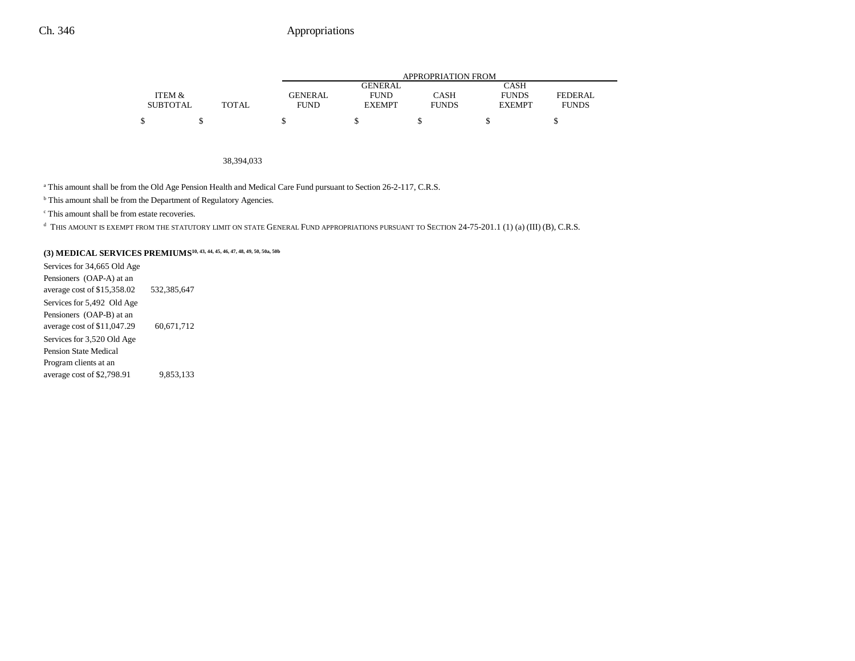|                 |       |             |                | APPROPRIATION FROM |               |              |
|-----------------|-------|-------------|----------------|--------------------|---------------|--------------|
|                 |       |             | <b>GENERAL</b> |                    | CASH          |              |
| ITEM &          |       | GENERAL     | <b>FUND</b>    | CASH               | <b>FUNDS</b>  | FEDERAL      |
| <b>SUBTOTAL</b> | TOTAL | <b>FUND</b> | <b>EXEMPT</b>  | <b>FUNDS</b>       | <b>EXEMPT</b> | <b>FUNDS</b> |
|                 |       |             |                |                    |               |              |

#### 38,394,033

a This amount shall be from the Old Age Pension Health and Medical Care Fund pursuant to Section 26-2-117, C.R.S.

**b** This amount shall be from the Department of Regulatory Agencies.

c This amount shall be from estate recoveries.

d THIS AMOUNT IS EXEMPT FROM THE STATUTORY LIMIT ON STATE GENERAL FUND APPROPRIATIONS PURSUANT TO SECTION 24-75-201.1 (1) (a) (III) (B), C.R.S.

### **(3) MEDICAL SERVICES PREMIUMS10, 43, 44, 45, 46, 47, 48, 49, 50, 50a, 50b**

Services for 34,665 Old Age Pensioners (OAP-A) at an average cost of \$15,358.02 532,385,647 Services for 5,492 Old Age Pensioners (OAP-B) at an average cost of \$11,047.29 60,671,712 Services for 3,520 Old Age Pension State Medical Program clients at an average cost of \$2,798.91 9,853,133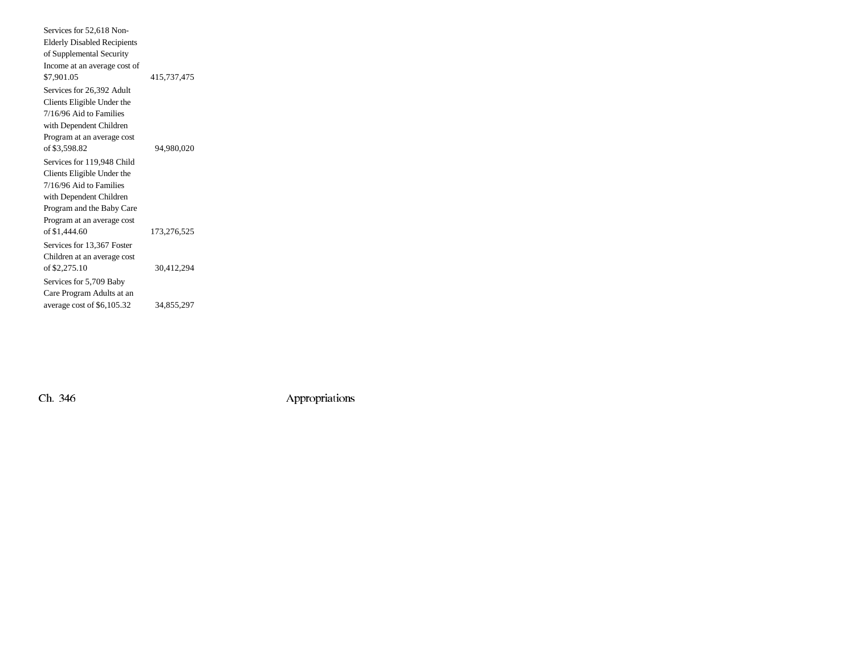| Services for 52,618 Non-           |             |  |
|------------------------------------|-------------|--|
| <b>Elderly Disabled Recipients</b> |             |  |
| of Supplemental Security           |             |  |
| Income at an average cost of       |             |  |
| \$7,901.05                         | 415,737,475 |  |
| Services for 26,392 Adult          |             |  |
| Clients Eligible Under the         |             |  |
| 7/16/96 Aid to Families            |             |  |
| with Dependent Children            |             |  |
| Program at an average cost         |             |  |
| of \$3,598.82                      | 94,980,020  |  |
| Services for 119,948 Child         |             |  |
| Clients Eligible Under the         |             |  |
| 7/16/96 Aid to Families            |             |  |
| with Dependent Children            |             |  |
| Program and the Baby Care          |             |  |
| Program at an average cost         |             |  |
| of \$1,444.60                      | 173.276.525 |  |
| Services for 13,367 Foster         |             |  |
| Children at an average cost        |             |  |
| of \$2,275.10                      | 30,412,294  |  |
| Services for 5,709 Baby            |             |  |
| Care Program Adults at an          |             |  |
| average cost of \$6,105.32         | 34,855,297  |  |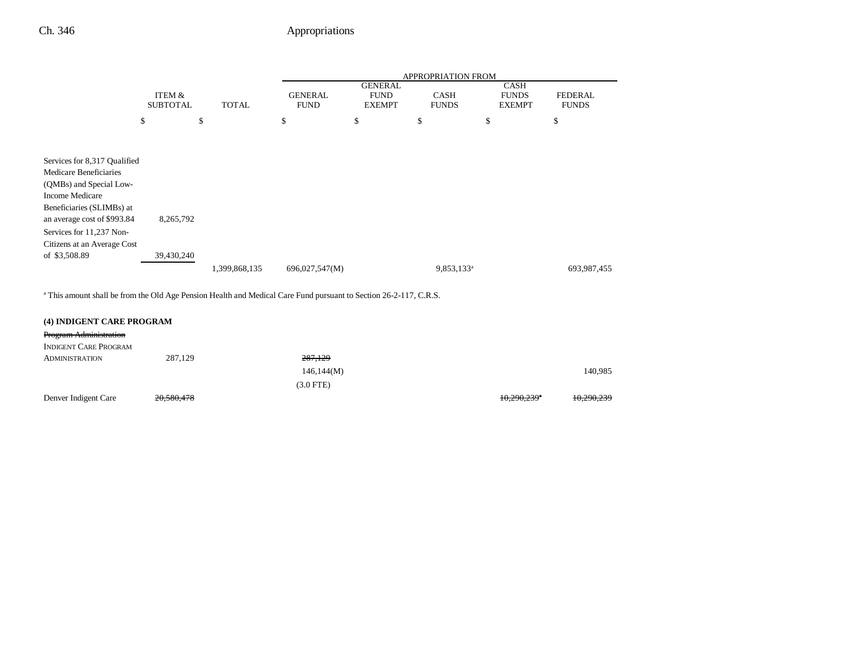|                                                                                                                                                                                                                             |                           |               |                               |                                                | <b>APPROPRIATION FROM</b>   |                                              |                                |
|-----------------------------------------------------------------------------------------------------------------------------------------------------------------------------------------------------------------------------|---------------------------|---------------|-------------------------------|------------------------------------------------|-----------------------------|----------------------------------------------|--------------------------------|
|                                                                                                                                                                                                                             | ITEM &<br><b>SUBTOTAL</b> | <b>TOTAL</b>  | <b>GENERAL</b><br><b>FUND</b> | <b>GENERAL</b><br><b>FUND</b><br><b>EXEMPT</b> | <b>CASH</b><br><b>FUNDS</b> | <b>CASH</b><br><b>FUNDS</b><br><b>EXEMPT</b> | <b>FEDERAL</b><br><b>FUNDS</b> |
|                                                                                                                                                                                                                             | \$                        | \$            | \$                            | \$                                             | \$                          | \$                                           | \$                             |
| Services for 8,317 Qualified<br>Medicare Beneficiaries<br>(QMBs) and Special Low-<br>Income Medicare<br>Beneficiaries (SLIMBs) at<br>an average cost of \$993.84<br>Services for 11,237 Non-<br>Citizens at an Average Cost | 8,265,792                 |               |                               |                                                |                             |                                              |                                |
| of \$3,508.89                                                                                                                                                                                                               | 39,430,240                | 1,399,868,135 | 696,027,547(M)                |                                                | 9,853,133 <sup>a</sup>      |                                              | 693,987,455                    |

a This amount shall be from the Old Age Pension Health and Medical Care Fund pursuant to Section 26-2-117, C.R.S.

| (4) INDIGENT CARE PROGRAM     |            |             |                           |            |
|-------------------------------|------------|-------------|---------------------------|------------|
| <b>Program Administration</b> |            |             |                           |            |
| <b>INDIGENT CARE PROGRAM</b>  |            |             |                           |            |
| <b>ADMINISTRATION</b>         | 287,129    | 287,129     |                           |            |
|                               |            | 146,144(M)  |                           | 140,985    |
|                               |            | $(3.0$ FTE) |                           |            |
| Denver Indigent Care          | 20,580,478 |             | $10,290,239$ <sup>*</sup> | 10,290,239 |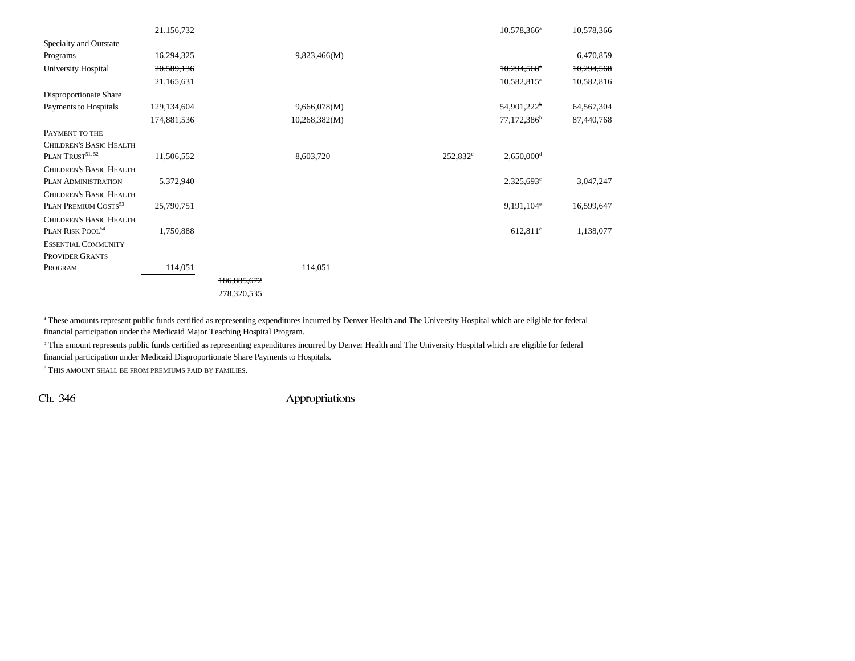|                                  | 21,156,732    |               |               |          | $10,578,366^{\circ}$      | 10,578,366 |
|----------------------------------|---------------|---------------|---------------|----------|---------------------------|------------|
| Specialty and Outstate           |               |               |               |          |                           |            |
| Programs                         | 16,294,325    |               | 9,823,466(M)  |          |                           | 6,470,859  |
| University Hospital              | 20,589,136    |               |               |          | $10,294,568$ <sup>*</sup> | 10,294,568 |
|                                  | 21,165,631    |               |               |          | $10,582,815^a$            | 10,582,816 |
| Disproportionate Share           |               |               |               |          |                           |            |
| Payments to Hospitals            | 129, 134, 604 |               | 9,666,078(M)  |          | $54,901,222$ <sup>b</sup> | 64,567,304 |
|                                  | 174,881,536   |               | 10,268,382(M) |          | 77,172,386 <sup>b</sup>   | 87,440,768 |
| PAYMENT TO THE                   |               |               |               |          |                           |            |
| <b>CHILDREN'S BASIC HEALTH</b>   |               |               |               |          |                           |            |
| PLAN TRUST <sup>51, 52</sup>     | 11,506,552    |               | 8,603,720     | 252,832° | $2,650,000$ <sup>d</sup>  |            |
| <b>CHILDREN'S BASIC HEALTH</b>   |               |               |               |          |                           |            |
| PLAN ADMINISTRATION              | 5,372,940     |               |               |          | $2,325,693^e$             | 3,047,247  |
| <b>CHILDREN'S BASIC HEALTH</b>   |               |               |               |          |                           |            |
| PLAN PREMIUM COSTS <sup>53</sup> | 25,790,751    |               |               |          | $9,191,104$ <sup>e</sup>  | 16,599,647 |
| <b>CHILDREN'S BASIC HEALTH</b>   |               |               |               |          |                           |            |
| PLAN RISK POOL <sup>54</sup>     | 1,750,888     |               |               |          | $612,811$ <sup>e</sup>    | 1,138,077  |
| <b>ESSENTIAL COMMUNITY</b>       |               |               |               |          |                           |            |
| PROVIDER GRANTS                  |               |               |               |          |                           |            |
| PROGRAM                          | 114,051       |               | 114,051       |          |                           |            |
|                                  |               | 186, 885, 672 |               |          |                           |            |
|                                  |               | 278,320,535   |               |          |                           |            |

<sup>a</sup> These amounts represent public funds certified as representing expenditures incurred by Denver Health and The University Hospital which are eligible for federal financial participation under the Medicaid Major Teaching Hospital Program.

**b** This amount represents public funds certified as representing expenditures incurred by Denver Health and The University Hospital which are eligible for federal financial participation under Medicaid Disproportionate Share Payments to Hospitals.

 $^{\rm c}$  THIS AMOUNT SHALL BE FROM PREMIUMS PAID BY FAMILIES.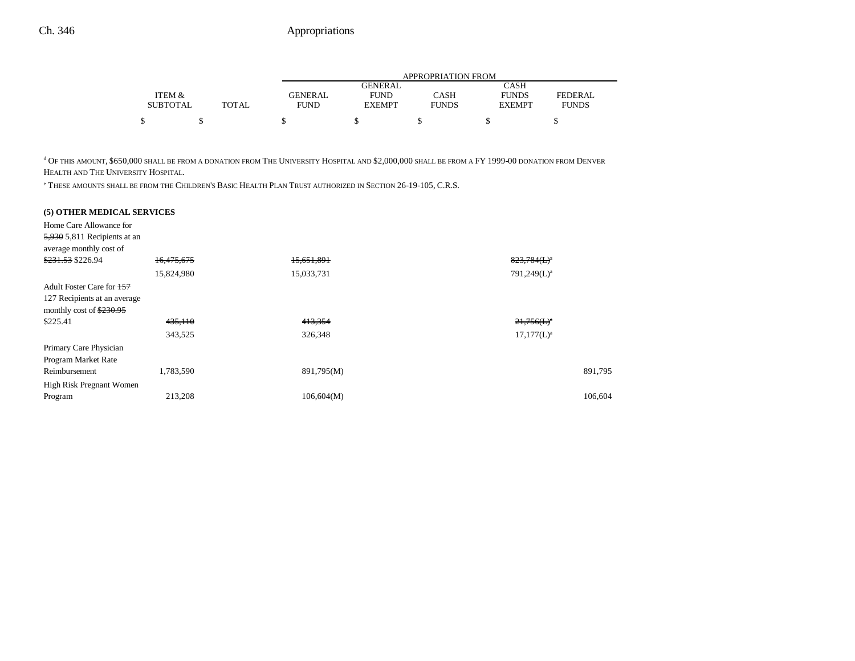|                 |              |                |                | APPROPRIATION FROM |               |                |
|-----------------|--------------|----------------|----------------|--------------------|---------------|----------------|
|                 |              |                | <b>GENERAL</b> |                    | CASH          |                |
| ITEM &          |              | <b>GENERAL</b> | <b>FUND</b>    | CASH               | <b>FUNDS</b>  | <b>FEDERAL</b> |
| <b>SUBTOTAL</b> | <b>TOTAL</b> | FUND           | <b>EXEMPT</b>  | <b>FUNDS</b>       | <b>EXEMPT</b> | <b>FUNDS</b>   |
| ¢               |              |                |                |                    |               |                |

d OF THIS AMOUNT, \$650,000 SHALL BE FROM A DONATION FROM THE UNIVERSITY HOSPITAL AND \$2,000,000 SHALL BE FROM A FY 1999-00 DONATION FROM DENVER HEALTH AND THE UNIVERSITY HOSPITAL.

e THESE AMOUNTS SHALL BE FROM THE CHILDREN'S BASIC HEALTH PLAN TRUST AUTHORIZED IN SECTION 26-19-105, C.R.S.

### **(5) OTHER MEDICAL SERVICES**

| Home Care Allowance for        |            |            |                |
|--------------------------------|------------|------------|----------------|
| $5,930$ 5,811 Recipients at an |            |            |                |
| average monthly cost of        |            |            |                |
| \$231.53 \$226.94              | 16,475,675 | 15,651,891 | $823,784(L)^a$ |
|                                | 15,824,980 | 15,033,731 | $791,249(L)^a$ |
| Adult Foster Care for 157      |            |            |                |
| 127 Recipients at an average   |            |            |                |
| monthly cost of $$230.95$      |            |            |                |
| \$225.41                       | 435,110    | 413,354    | $21,756(L)^a$  |
|                                | 343,525    | 326,348    | $17,177(L)^a$  |
| Primary Care Physician         |            |            |                |
| Program Market Rate            |            |            |                |
| Reimbursement                  | 1,783,590  | 891,795(M) | 891,795        |
| High Risk Pregnant Women       |            |            |                |
| Program                        | 213,208    | 106,604(M) | 106,604        |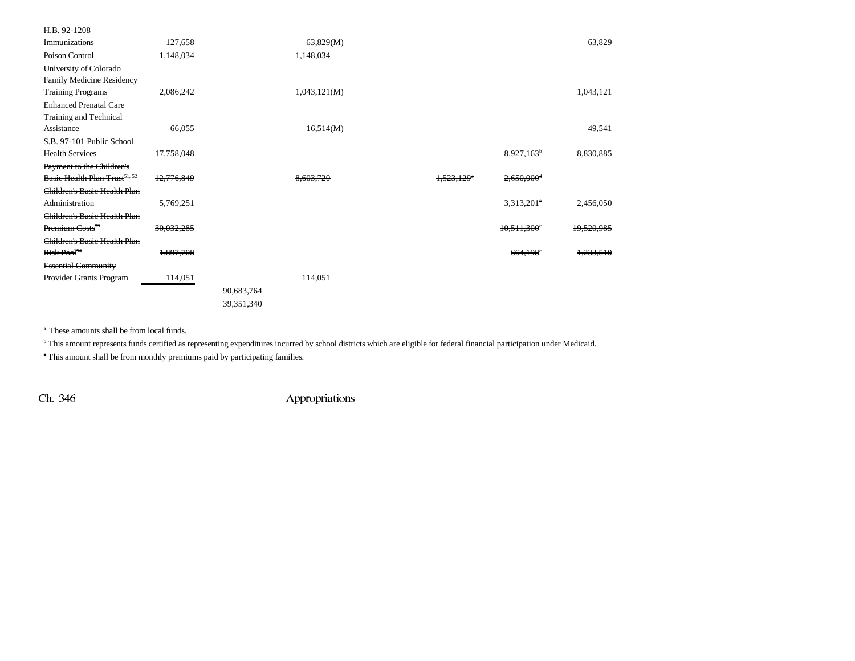| H.B. 92-1208                              |            |            |              |                        |                           |            |
|-------------------------------------------|------------|------------|--------------|------------------------|---------------------------|------------|
| Immunizations                             | 127,658    |            | 63,829(M)    |                        |                           | 63,829     |
| Poison Control                            | 1,148,034  |            | 1,148,034    |                        |                           |            |
| University of Colorado                    |            |            |              |                        |                           |            |
| Family Medicine Residency                 |            |            |              |                        |                           |            |
| <b>Training Programs</b>                  | 2,086,242  |            | 1,043,121(M) |                        |                           | 1,043,121  |
| <b>Enhanced Prenatal Care</b>             |            |            |              |                        |                           |            |
| Training and Technical                    |            |            |              |                        |                           |            |
| Assistance                                | 66,055     |            | 16,514(M)    |                        |                           | 49,541     |
| S.B. 97-101 Public School                 |            |            |              |                        |                           |            |
| <b>Health Services</b>                    | 17,758,048 |            |              |                        | $8,927,163^b$             | 8,830,885  |
| Payment to the Children's                 |            |            |              |                        |                           |            |
| Basic Health Plan Trust <sup>51, 52</sup> | 12,776,849 |            | 8,603,720    | 1,523,129 <sup>e</sup> | 2,650,000 <sup>d</sup>    |            |
| Children's Basic Health Plan              |            |            |              |                        |                           |            |
| Administration                            | 5,769,251  |            |              |                        | $3,313,201$ <sup>e</sup>  | 2,456,050  |
| Children's Basic Health Plan              |            |            |              |                        |                           |            |
| Premium Costs <sup>53</sup>               | 30,032,285 |            |              |                        | $10,511,300$ <sup>e</sup> | 19,520,985 |
| Children's Basic Health Plan              |            |            |              |                        |                           |            |
| Risk Pool <sup>54</sup>                   | 1,897,708  |            |              |                        | $664,198$ <sup>e</sup>    | 1,233,510  |
| <b>Essential Community</b>                |            |            |              |                        |                           |            |
| Provider Grants Program                   | 114,051    |            | ++4.05+      |                        |                           |            |
|                                           |            | 90,683,764 |              |                        |                           |            |
|                                           |            | 39,351,340 |              |                        |                           |            |
|                                           |            |            |              |                        |                           |            |

a These amounts shall be from local funds.

<sup>b</sup> This amount represents funds certified as representing expenditures incurred by school districts which are eligible for federal financial participation under Medicaid.

c This amount shall be from monthly premiums paid by participating families.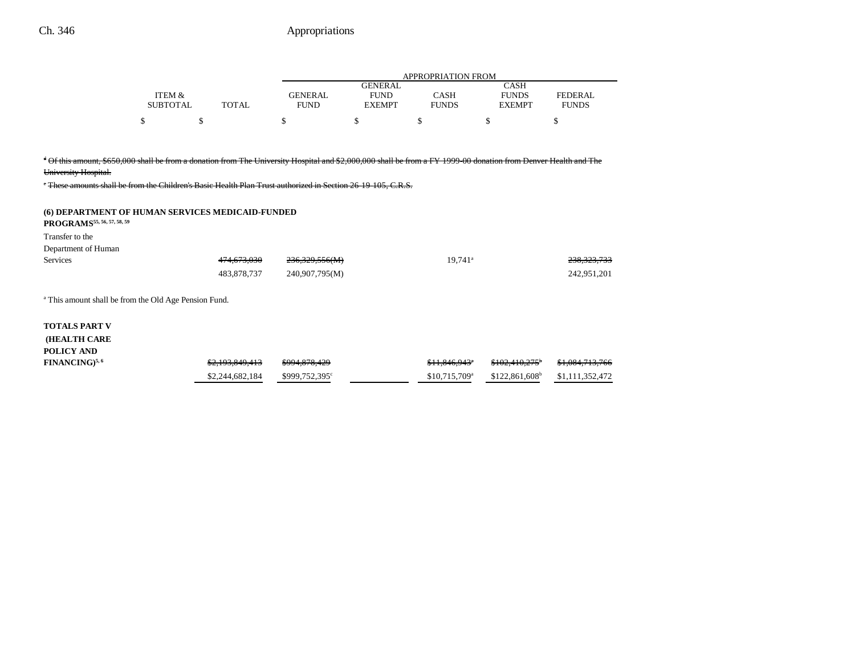|                 |       | APPROPRIATION FROM |               |              |               |                |
|-----------------|-------|--------------------|---------------|--------------|---------------|----------------|
|                 |       |                    | GENERAL       |              | CASH          |                |
| ITEM &          |       | GENERAL            | <b>FUND</b>   | CASH         | <b>FUNDS</b>  | <b>FEDERAL</b> |
| <b>SUBTOTAL</b> | TOTAL | <b>FUND</b>        | <b>EXEMPT</b> | <b>FUNDS</b> | <b>EXEMPT</b> | <b>FUNDS</b>   |
| ¢               |       |                    |               |              |               |                |

### d Of this amount, \$650,000 shall be from a donation from The University Hospital and \$2,000,000 shall be from a FY 1999-00 donation from Denver Health and The

University Hospital.

e These amounts shall be from the Children's Basic Health Plan Trust authorized in Section 26-19-105, C.R.S.

| (6) DEPARTMENT OF HUMAN SERVICES MEDICAID-FUNDED<br>PROGRAMS <sup>55, 56, 57, 58, 59</sup><br>Transfer to the<br>Department of Human |                 |                |                           |                             |                 |
|--------------------------------------------------------------------------------------------------------------------------------------|-----------------|----------------|---------------------------|-----------------------------|-----------------|
| <b>Services</b>                                                                                                                      | 474,673,030     | 236,329,556(M) | $19,741$ <sup>a</sup>     |                             | 238,323,733     |
|                                                                                                                                      | 483,878,737     | 240,907,795(M) |                           |                             | 242,951,201     |
| <sup>a</sup> This amount shall be from the Old Age Pension Fund.                                                                     |                 |                |                           |                             |                 |
| <b>TOTALS PART V</b><br><b>(HEALTH CARE</b><br>POLICY AND                                                                            |                 |                |                           |                             |                 |
| FINANCING) <sup>5, 6</sup>                                                                                                           | \$2,193,849,413 | \$994,878,429  | \$11,846,943*             | \$102,410,275               | \$1,084,713,766 |
|                                                                                                                                      | \$2,244,682,184 | \$999,752,395° | \$10,715,709 <sup>a</sup> | $$122,861,608$ <sup>b</sup> | \$1,111,352,472 |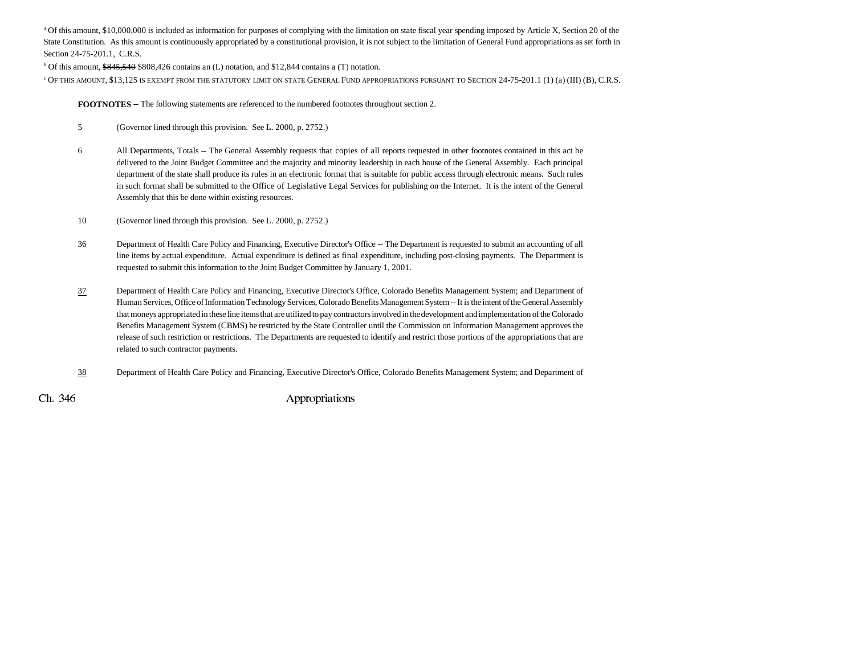<sup>a</sup> Of this amount, \$10,000,000 is included as information for purposes of complying with the limitation on state fiscal year spending imposed by Article X, Section 20 of the State Constitution. As this amount is continuously appropriated by a constitutional provision, it is not subject to the limitation of General Fund appropriations as set forth in Section 24-75-201.1, C.R.S.

b Of this amount, \$845,540 \$808,426 contains an (L) notation, and \$12,844 contains a (T) notation.

<sup>c</sup> Of this amount, \$13,125 is exempt from the statutory limit on state General Fund appropriations pursuant to Section 24-75-201.1 (1) (a) (III) (B), C.R.S.

**FOOTNOTES** -- The following statements are referenced to the numbered footnotes throughout section 2.

- 5 (Governor lined through this provision. See L. 2000, p. 2752.)
- 6 All Departments, Totals -- The General Assembly requests that copies of all reports requested in other footnotes contained in this act be delivered to the Joint Budget Committee and the majority and minority leadership in each house of the General Assembly. Each principal department of the state shall produce its rules in an electronic format that is suitable for public access through electronic means. Such rules in such format shall be submitted to the Office of Legislative Legal Services for publishing on the Internet. It is the intent of the General Assembly that this be done within existing resources.
- 10 (Governor lined through this provision. See L. 2000, p. 2752.)
- 36 Department of Health Care Policy and Financing, Executive Director's Office -- The Department is requested to submit an accounting of all line items by actual expenditure. Actual expenditure is defined as final expenditure, including post-closing payments. The Department is requested to submit this information to the Joint Budget Committee by January 1, 2001.
- 37 Department of Health Care Policy and Financing, Executive Director's Office, Colorado Benefits Management System; and Department of Human Services, Office of Information Technology Services, Colorado Benefits Management System -- It is the intent of the General Assembly that moneys appropriated in these line items that are utilized to pay contractors involved in the development and implementation of the Colorado Benefits Management System (CBMS) be restricted by the State Controller until the Commission on Information Management approves the release of such restriction or restrictions. The Departments are requested to identify and restrict those portions of the appropriations that are related to such contractor payments.
- 38Department of Health Care Policy and Financing, Executive Director's Office, Colorado Benefits Management System; and Department of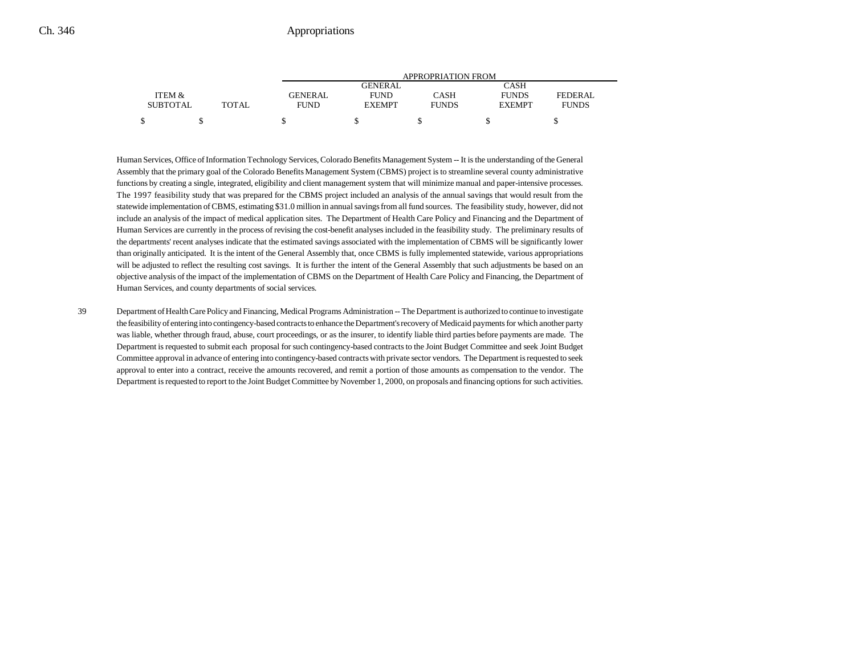|                 |       |         | APPROPRIATION FROM |              |               |                |  |
|-----------------|-------|---------|--------------------|--------------|---------------|----------------|--|
|                 |       |         | GENERAL            |              | CASH          |                |  |
| ITEM &          |       | GENERAL | <b>FUND</b>        | CASH         | <b>FUNDS</b>  | <b>FEDERAL</b> |  |
| <b>SUBTOTAL</b> | TOTAL | FUND    | <b>EXEMPT</b>      | <b>FUNDS</b> | <b>EXEMPT</b> | <b>FUNDS</b>   |  |
|                 |       |         |                    |              |               |                |  |

Human Services, Office of Information Technology Services, Colorado Benefits Management System -- It is the understanding of the General Assembly that the primary goal of the Colorado Benefits Management System (CBMS) project is to streamline several county administrative functions by creating a single, integrated, eligibility and client management system that will minimize manual and paper-intensive processes. The 1997 feasibility study that was prepared for the CBMS project included an analysis of the annual savings that would result from the statewide implementation of CBMS, estimating \$31.0 million in annual savings from all fund sources. The feasibility study, however, did not include an analysis of the impact of medical application sites. The Department of Health Care Policy and Financing and the Department of Human Services are currently in the process of revising the cost-benefit analyses included in the feasibility study. The preliminary results of the departments' recent analyses indicate that the estimated savings associated with the implementation of CBMS will be significantly lower than originally anticipated. It is the intent of the General Assembly that, once CBMS is fully implemented statewide, various appropriations will be adjusted to reflect the resulting cost savings. It is further the intent of the General Assembly that such adjustments be based on an objective analysis of the impact of the implementation of CBMS on the Department of Health Care Policy and Financing, the Department of Human Services, and county departments of social services.

39 Department of Health Care Policy and Financing, Medical Programs Administration -- The Department is authorized to continue to investigate the feasibility of entering into contingency-based contracts to enhance the Department's recovery of Medicaid payments for which another party was liable, whether through fraud, abuse, court proceedings, or as the insurer, to identify liable third parties before payments are made. The Department is requested to submit each proposal for such contingency-based contracts to the Joint Budget Committee and seek Joint Budget Committee approval in advance of entering into contingency-based contracts with private sector vendors. The Department is requested to seek approval to enter into a contract, receive the amounts recovered, and remit a portion of those amounts as compensation to the vendor. The Department is requested to report to the Joint Budget Committee by November 1, 2000, on proposals and financing options for such activities.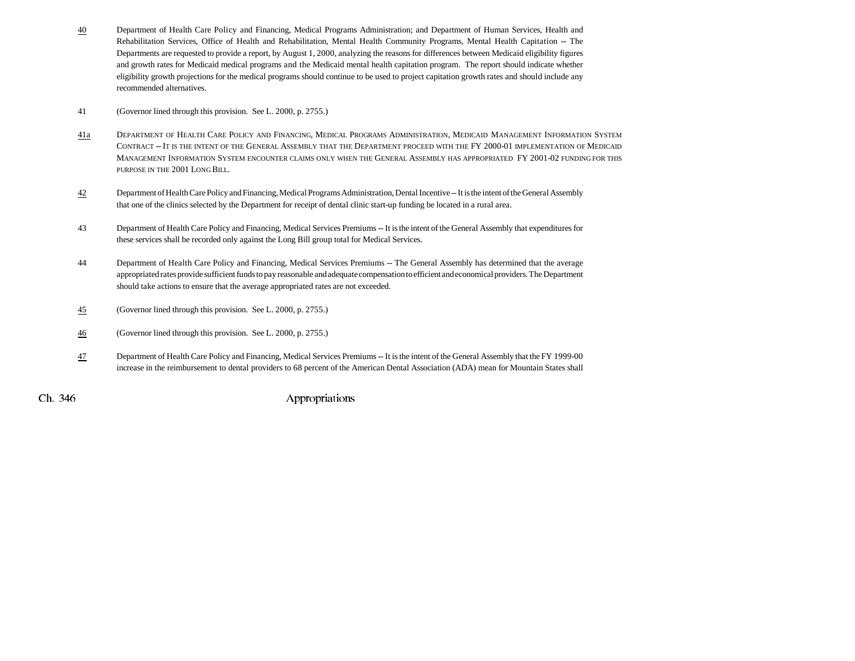- 40 Department of Health Care Policy and Financing, Medical Programs Administration; and Department of Human Services, Health and Rehabilitation Services, Office of Health and Rehabilitation, Mental Health Community Programs, Mental Health Capitation -- The Departments are requested to provide a report, by August 1, 2000, analyzing the reasons for differences between Medicaid eligibility figures and growth rates for Medicaid medical programs and the Medicaid mental health capitation program. The report should indicate whether eligibility growth projections for the medical programs should continue to be used to project capitation growth rates and should include any recommended alternatives.
- 41 (Governor lined through this provision. See L. 2000, p. 2755.)
- 41a DEPARTMENT OF HEALTH CARE POLICY AND FINANCING, MEDICAL PROGRAMS ADMINISTRATION, MEDICAID MANAGEMENT INFORMATION SYSTEM CONTRACT -- IT IS THE INTENT OF THE GENERAL ASSEMBLY THAT THE DEPARTMENT PROCEED WITH THE FY 2000-01 IMPLEMENTATION OF MEDICAID MANAGEMENT INFORMATION SYSTEM ENCOUNTER CLAIMS ONLY WHEN THE GENERAL ASSEMBLY HAS APPROPRIATED FY 2001-02 FUNDING FOR THIS PURPOSE IN THE 2001 LONG BILL.
- 42 Department of Health Care Policy and Financing, Medical Programs Administration, Dental Incentive -- It is the intent of the General Assembly that one of the clinics selected by the Department for receipt of dental clinic start-up funding be located in a rural area.
- 43 Department of Health Care Policy and Financing, Medical Services Premiums -- It is the intent of the General Assembly that expenditures for these services shall be recorded only against the Long Bill group total for Medical Services.
- 44 Department of Health Care Policy and Financing, Medical Services Premiums -- The General Assembly has determined that the average appropriated rates provide sufficient funds to pay reasonable and adequate compensation to efficient and economical providers. The Department should take actions to ensure that the average appropriated rates are not exceeded.
- 45(Governor lined through this provision. See L. 2000, p. 2755.)
- 46(Governor lined through this provision. See L. 2000, p. 2755.)
- 47 Department of Health Care Policy and Financing, Medical Services Premiums -- It is the intent of the General Assembly that the FY 1999-00 increase in the reimbursement to dental providers to 68 percent of the American Dental Association (ADA) mean for Mountain States shall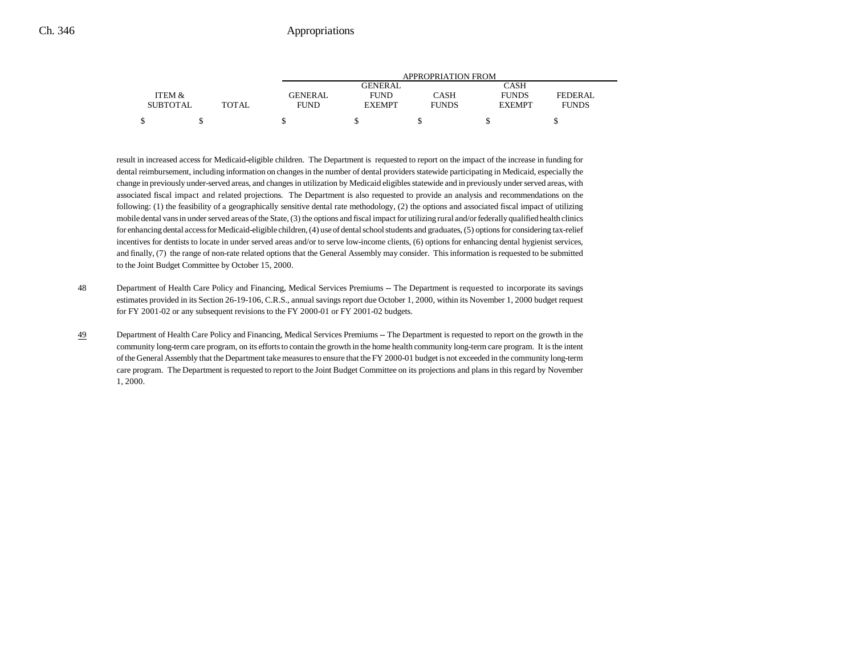|                 |       | APPROPRIATION FROM |                 |              |               |                |  |
|-----------------|-------|--------------------|-----------------|--------------|---------------|----------------|--|
|                 |       |                    | CASH<br>GENERAL |              |               |                |  |
| ITEM &          |       | GENERAL            | <b>FUND</b>     | CASH         | <b>FUNDS</b>  | <b>FEDERAL</b> |  |
| <b>SUBTOTAL</b> | TOTAL | <b>FUND</b>        | <b>EXEMPT</b>   | <b>FUNDS</b> | <b>EXEMPT</b> | <b>FUNDS</b>   |  |
| ¢               |       |                    |                 |              |               |                |  |

result in increased access for Medicaid-eligible children. The Department is requested to report on the impact of the increase in funding for dental reimbursement, including information on changes in the number of dental providers statewide participating in Medicaid, especially the change in previously under-served areas, and changes in utilization by Medicaid eligibles statewide and in previously under served areas, with associated fiscal impact and related projections. The Department is also requested to provide an analysis and recommendations on the following: (1) the feasibility of a geographically sensitive dental rate methodology, (2) the options and associated fiscal impact of utilizing mobile dental vans in under served areas of the State, (3) the options and fiscal impact for utilizing rural and/or federally qualified health clinics for enhancing dental access for Medicaid-eligible children, (4) use of dental school students and graduates, (5) options for considering tax-relief incentives for dentists to locate in under served areas and/or to serve low-income clients, (6) options for enhancing dental hygienist services, and finally, (7) the range of non-rate related options that the General Assembly may consider. This information is requested to be submitted to the Joint Budget Committee by October 15, 2000.

- 48 Department of Health Care Policy and Financing, Medical Services Premiums -- The Department is requested to incorporate its savings estimates provided in its Section 26-19-106, C.R.S., annual savings report due October 1, 2000, within its November 1, 2000 budget request for FY 2001-02 or any subsequent revisions to the FY 2000-01 or FY 2001-02 budgets.
- 49 Department of Health Care Policy and Financing, Medical Services Premiums -- The Department is requested to report on the growth in the community long-term care program, on its efforts to contain the growth in the home health community long-term care program. It is the intent of the General Assembly that the Department take measures to ensure that the FY 2000-01 budget is not exceeded in the community long-term care program. The Department is requested to report to the Joint Budget Committee on its projections and plans in this regard by November 1, 2000.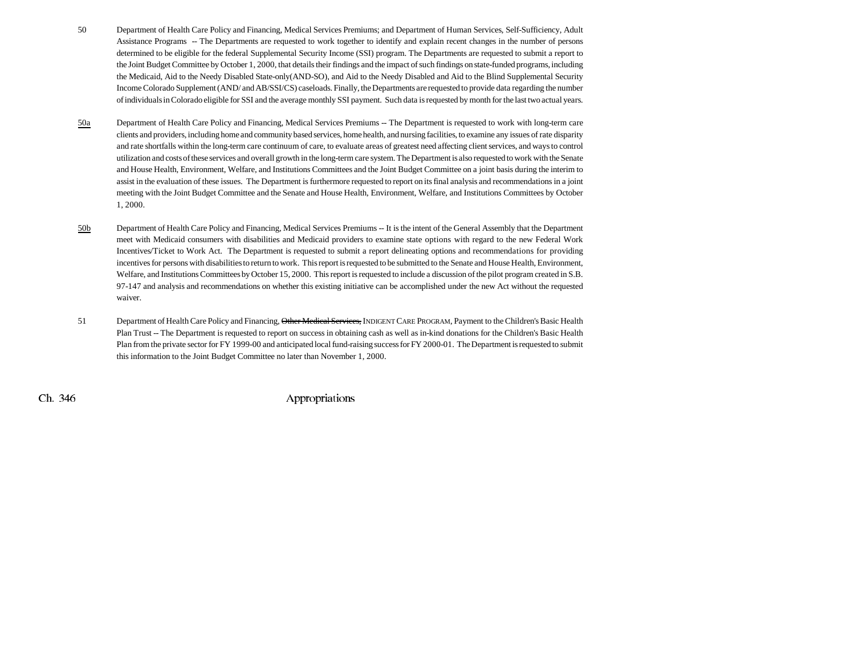- 50 Department of Health Care Policy and Financing, Medical Services Premiums; and Department of Human Services, Self-Sufficiency, Adult Assistance Programs -- The Departments are requested to work together to identify and explain recent changes in the number of persons determined to be eligible for the federal Supplemental Security Income (SSI) program. The Departments are requested to submit a report to the Joint Budget Committee by October 1, 2000, that details their findings and the impact of such findings on state-funded programs, including the Medicaid, Aid to the Needy Disabled State-only(AND-SO), and Aid to the Needy Disabled and Aid to the Blind Supplemental Security Income Colorado Supplement (AND/ and AB/SSI/CS) caseloads. Finally, the Departments are requested to provide data regarding the number of individuals in Colorado eligible for SSI and the average monthly SSI payment. Such data is requested by month for the last two actual years.
- 50a Department of Health Care Policy and Financing, Medical Services Premiums -- The Department is requested to work with long-term care clients and providers, including home and community based services, home health, and nursing facilities, to examine any issues of rate disparity and rate shortfalls within the long-term care continuum of care, to evaluate areas of greatest need affecting client services, and ways to control utilization and costs of these services and overall growth in the long-term care system. The Department is also requested to work with the Senate and House Health, Environment, Welfare, and Institutions Committees and the Joint Budget Committee on a joint basis during the interim to assist in the evaluation of these issues. The Department is furthermore requested to report on its final analysis and recommendations in a joint meeting with the Joint Budget Committee and the Senate and House Health, Environment, Welfare, and Institutions Committees by October 1, 2000.
- 50b Department of Health Care Policy and Financing, Medical Services Premiums -- It is the intent of the General Assembly that the Department meet with Medicaid consumers with disabilities and Medicaid providers to examine state options with regard to the new Federal Work Incentives/Ticket to Work Act. The Department is requested to submit a report delineating options and recommendations for providing incentives for persons with disabilities to return to work. This report is requested to be submitted to the Senate and House Health, Environment, Welfare, and Institutions Committees by October 15, 2000. This report is requested to include a discussion of the pilot program created in S.B. 97-147 and analysis and recommendations on whether this existing initiative can be accomplished under the new Act without the requested waiver.
- 51 Department of Health Care Policy and Financing, <del>Other Medical Services,</del> INDIGENT CARE PROGRAM, Payment to the Children's Basic Health Plan Trust -- The Department is requested to report on success in obtaining cash as well as in-kind donations for the Children's Basic Health Plan from the private sector for FY 1999-00 and anticipated local fund-raising success for FY 2000-01. The Department is requested to submit this information to the Joint Budget Committee no later than November 1, 2000.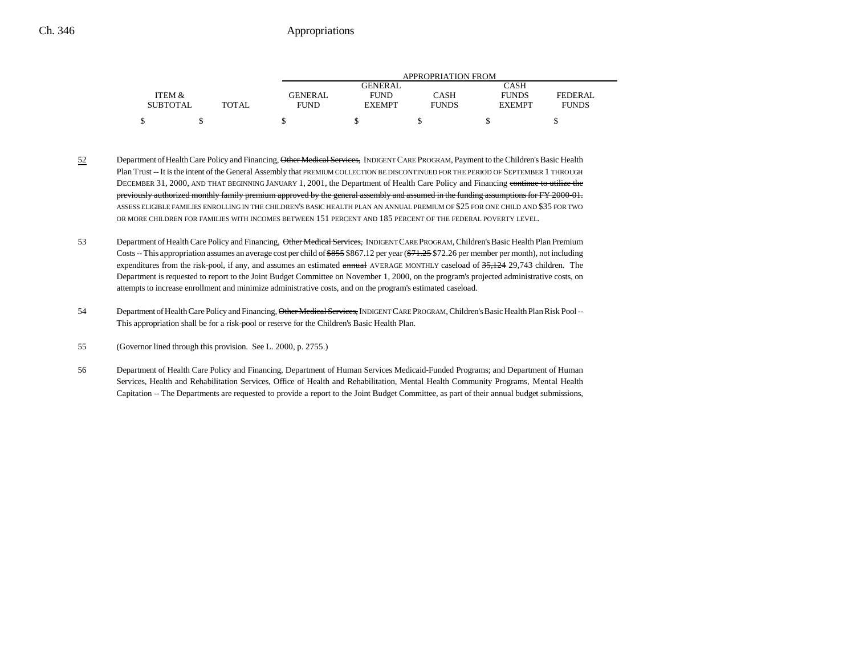|                 |              | APPROPRIATION FROM |               |              |               |              |
|-----------------|--------------|--------------------|---------------|--------------|---------------|--------------|
|                 |              |                    | GENERAL       |              | CASH          |              |
| ITEM &          |              | <b>GENERAL</b>     | <b>FUND</b>   | CASH         | <b>FUNDS</b>  | FEDERAL      |
| <b>SUBTOTAL</b> | <b>TOTAL</b> | <b>FUND</b>        | <b>EXEMPT</b> | <b>FUNDS</b> | <b>EXEMPT</b> | <b>FUNDS</b> |
|                 |              |                    |               |              |               |              |

- 52Department of Health Care Policy and Financing, Other Medical Services, INDIGENT CARE PROGRAM, Payment to the Children's Basic Health Plan Trust -- It is the intent of the General Assembly that PREMIUM COLLECTION BE DISCONTINUED FOR THE PERIOD OF SEPTEMBER 1 THROUGH DECEMBER 31, 2000, AND THAT BEGINNING JANUARY 1, 2001, the Department of Health Care Policy and Financing continue to utilize the previously authorized monthly family premium approved by the general assembly and assumed in the funding assumptions for FY 2000-01. ASSESS ELIGIBLE FAMILIES ENROLLING IN THE CHILDREN'S BASIC HEALTH PLAN AN ANNUAL PREMIUM OF \$25 FOR ONE CHILD AND \$35 FOR TWO OR MORE CHILDREN FOR FAMILIES WITH INCOMES BETWEEN 151 PERCENT AND 185 PERCENT OF THE FEDERAL POVERTY LEVEL.
- 53 Department of Health Care Policy and Financing, Other Medical Services, INDIGENT CARE PROGRAM, Children's Basic Health Plan Premium Costs -- This appropriation assumes an average cost per child of \$855 \$867.12 per year (\$71.25 \$72.26 per member per month), not including expenditures from the risk-pool, if any, and assumes an estimated annual AVERAGE MONTHLY caseload of 35,124 29,743 children. The Department is requested to report to the Joint Budget Committee on November 1, 2000, on the program's projected administrative costs, on attempts to increase enrollment and minimize administrative costs, and on the program's estimated caseload.
- 54 Department of Health Care Policy and Financing, Other Medical Services, INDIGENT CARE PROGRAM, Children's Basic Health Plan Risk Pool --This appropriation shall be for a risk-pool or reserve for the Children's Basic Health Plan.
- 55 (Governor lined through this provision. See L. 2000, p. 2755.)
- 56 Department of Health Care Policy and Financing, Department of Human Services Medicaid-Funded Programs; and Department of Human Services, Health and Rehabilitation Services, Office of Health and Rehabilitation, Mental Health Community Programs, Mental Health Capitation -- The Departments are requested to provide a report to the Joint Budget Committee, as part of their annual budget submissions,